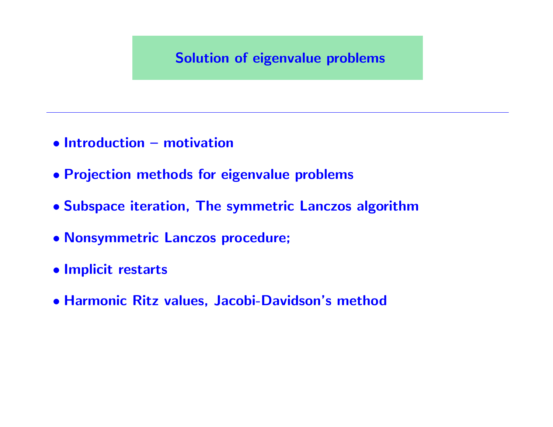#### Solution of eigenvalue problems

- Introduction motivation
- Projection methods for eigenvalue problems
- Subspace iteration, The symmetric Lanczos algorithm
- Nonsymmetric Lanczos procedure;
- Implicit restarts
- Harmonic Ritz values, Jacobi-Davidson's method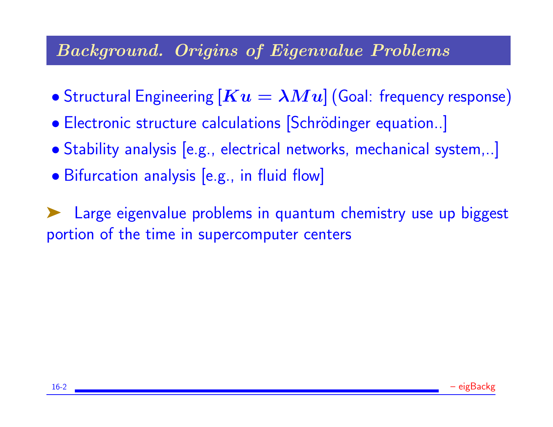## Background. Origins of Eigenvalue Problems

- Structural Engineering  $[Ku = \lambda Mu]$  (Goal: frequency response)
- Electronic structure calculations [Schrödinger equation..]
- Stability analysis [e.g., electrical networks, mechanical system,..]
- Bifurcation analysis [e.g., in fluid flow]

➤ Large eigenvalue problems in quantum chemistry use up biggest portion of the time in supercomputer centers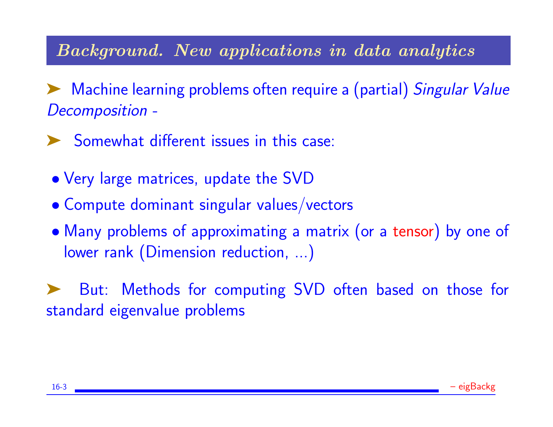## Background. New applications in data analytics

Machine learning problems often require a (partial) Singular Value Decomposition -

➤ Somewhat different issues in this case:

- Very large matrices, update the SVD
- Compute dominant singular values/vectors
- Many problems of approximating a matrix (or a tensor) by one of lower rank (Dimension reduction, ...)

But: Methods for computing SVD often based on those for standard eigenvalue problems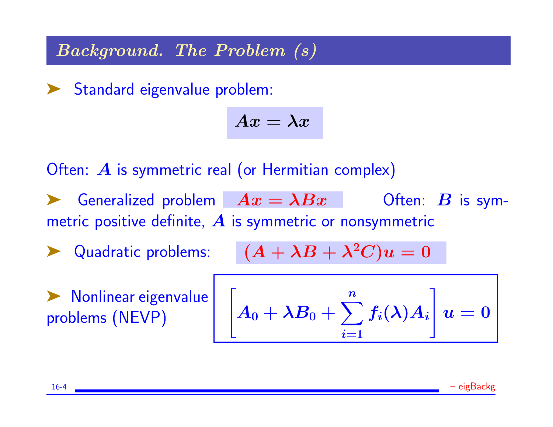Background. The Problem (s)

▶ Standard eigenvalue problem:

$$
Ax=\lambda x
$$

Often: A is symmetric real (or Hermitian complex)

- Generalized problem  $Ax = \lambda Bx$  Often: B is symmetric positive definite,  $\boldsymbol{A}$  is symmetric or nonsymmetric
- A Quadratic problems:  $(A + \lambda B + \lambda^2 C)u = 0$

▶ Nonlinear eigenvalue<br>problems (NEVP)

$$
\left[A_0 + \lambda B_0 + \sum_{i=1}^n f_i(\lambda) A_i\right] u = 0
$$

16-4 – eigBackg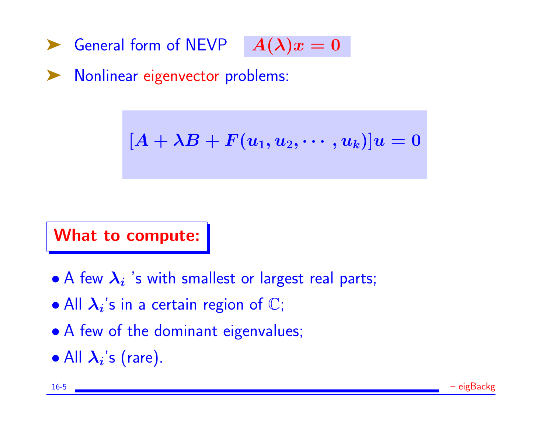General form of NEVP  $A(\lambda)x=0$ 

Nonlinear eigenvector problems:

 $[A + \lambda B + F(u_1, u_2, \cdots, u_k)]u = 0$ 

What to compute:

- A few  $\lambda_i$  's with smallest or largest real parts;
- All  $\lambda_i$ 's in a certain region of  $\mathbb{C}$ ;
- A few of the dominant eigenvalues;
- All  $\lambda_i$ 's (rare).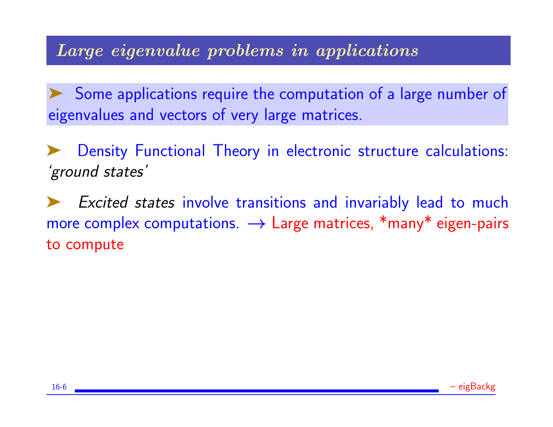## Large eigenvalue problems in applications

Some applications require the computation of a large number of eigenvalues and vectors of very large matrices.

Density Functional Theory in electronic structure calculations: 'ground states'

Excited states involve transitions and invariably lead to much more complex computations.  $\rightarrow$  Large matrices, \*many\* eigen-pairs to compute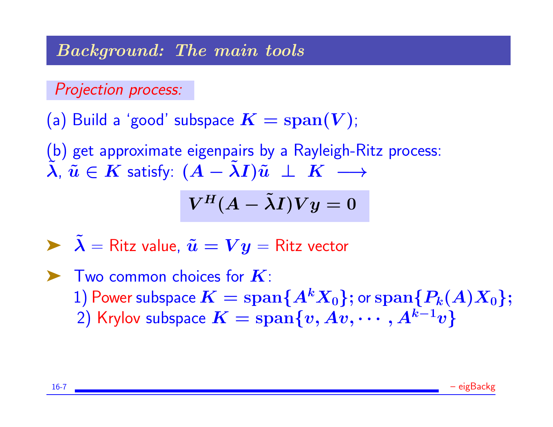Background: The main tools

Projection process:

(a) Build a 'good' subspace  $K = span(V)$ ;

(b) get approximate eigenpairs by a Rayleigh-Ritz process:  $\tilde{\lambda}, \tilde{u} \in K$  satisfy:  $(A - \tilde{\lambda}I)\tilde{u} \perp K \longrightarrow$ 

$$
V^H(A-\tilde \lambda I)Vy=0
$$

- $\sum \tilde{\lambda} =$  Ritz value,  $\tilde{u} = V y =$  Ritz vector
- $\blacktriangleright$  Two common choices for  $K$ : 1) Power subspace  $K = \text{span}\{A^k X_0\}$ ; or  $\text{span}\{P_k(A)X_0\}$ ; 2) Krylov subspace  $K = \text{span}\{v, Av, \cdots, A^{k-1}v\}$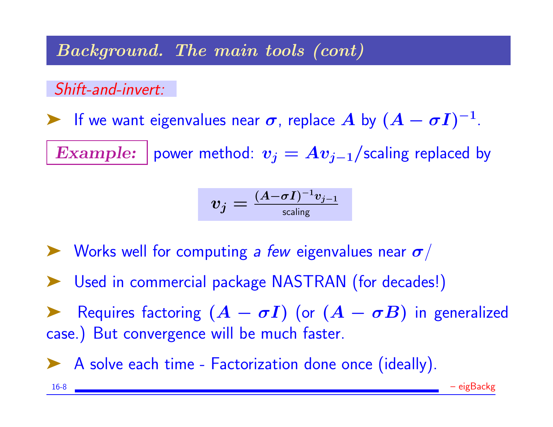Background. The main tools (cont)

Shift-and-invert:

F we want eigenvalues near  $\sigma$ , replace A by  $(A - \sigma I)^{-1}$ .

Example: power method:  $v_j = Av_{j-1}/$  scaling replaced by

$$
v_j = \tfrac{(A - \sigma I)^{-1} v_{j-1}}{\textsf{scaling}}
$$

- $\blacktriangleright$  Works well for computing a few eigenvalues near  $\sigma$ /
- ➤ Used in commercial package NASTRAN (for decades!)

Requires factoring  $(A - \sigma I)$  (or  $(A - \sigma B)$  in generalized case.) But convergence will be much faster.

▶ A solve each time - Factorization done once (ideally).

16-8 – eigBackg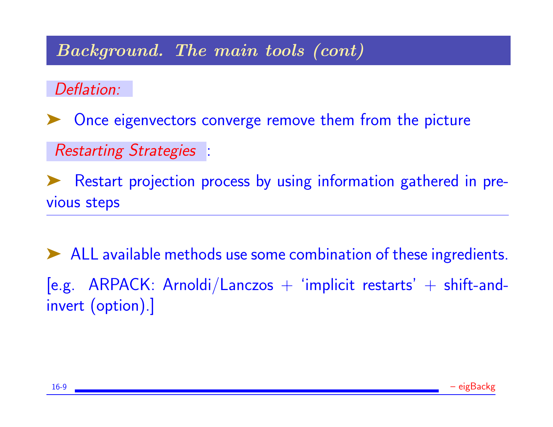## Background. The main tools (cont)

Deflation:

➤ Once eigenvectors converge remove them from the picture

Restarting Strategies :

➤ Restart projection process by using information gathered in previous steps

➤ ALL available methods use some combination of these ingredients.  $[$ e.g. ARPACK: Arnoldi/Lanczos  $+$  'implicit restarts'  $+$  shift-andinvert (option).]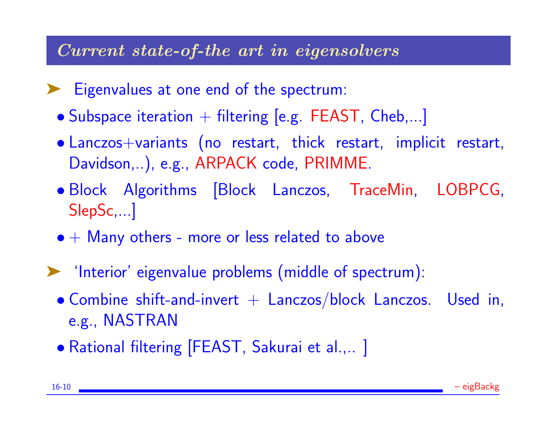#### Current state-of-the art in eigensolvers

- ➤ Eigenvalues at one end of the spectrum:
	- Subspace iteration  $+$  filtering [e.g. FEAST, Cheb,...]
	- Lanczos+variants (no restart, thick restart, implicit restart, Davidson,..), e.g., ARPACK code, PRIMME.
	- Block Algorithms [Block Lanczos, TraceMin, LOBPCG, SlepSc,...]
	- $\bullet +$  Many others more or less related to above
- ➤ 'Interior' eigenvalue problems (middle of spectrum):
	- $\bullet$  Combine shift-and-invert  $+$  Lanczos/block Lanczos. Used in, e.g., NASTRAN
	- Rational filtering [FEAST, Sakurai et al.,.. ]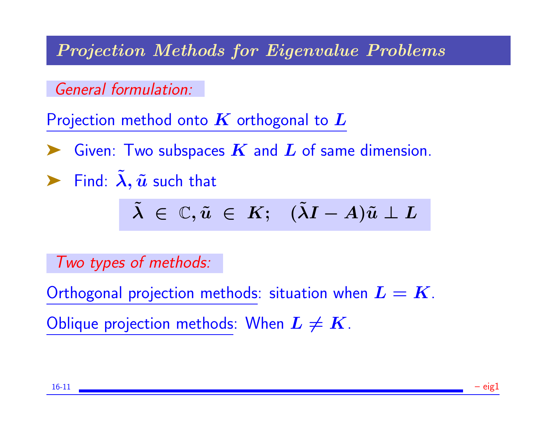Projection Methods for Eigenvalue Problems

General formulation:

Projection method onto  $K$  orthogonal to  $L$ 

Given: Two subspaces  $\boldsymbol{K}$  and  $\boldsymbol{L}$  of same dimension.

Find:  $\tilde{\lambda}$ ,  $\tilde{u}$  such that

$$
\tilde{\lambda} \ \in \ \mathbb{C}, \tilde{u} \ \in \ K; \quad (\tilde{\lambda}I - A)\tilde{u} \perp L
$$

Two types of methods:

Orthogonal projection methods: situation when  $\boldsymbol{L} = \boldsymbol{K}$ . Oblique projection methods: When  $L \neq K$ .

16-11 – eig1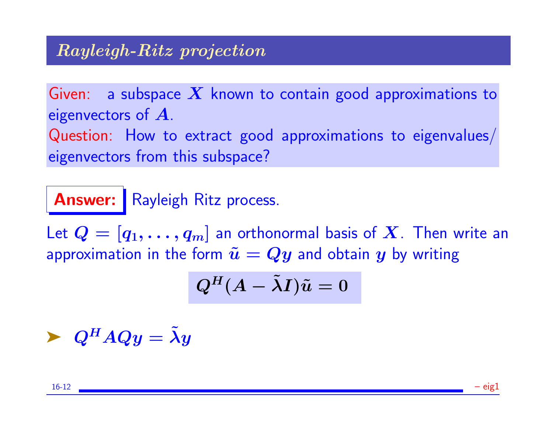### Rayleigh-Ritz projection

Given: a subspace  $X$  known to contain good approximations to eigenvectors of  $\boldsymbol{A}$ . Question: How to extract good approximations to eigenvalues/

eigenvectors from this subspace?

# Answer: Rayleigh Ritz process.

Let  $Q = [q_1, \ldots, q_m]$  an orthonormal basis of X. Then write an approximation in the form  $\tilde{u} = Qy$  and obtain y by writing

$$
Q^H(A-\tilde \lambda I)\tilde u=0
$$

 $\blacktriangleright$   $Q^H A Q y = \lambda y$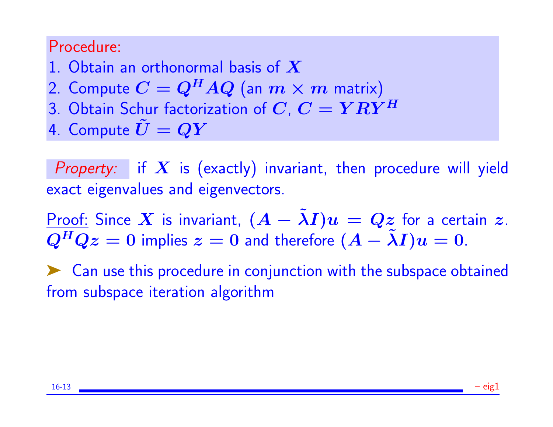## Procedure:

- 1. Obtain an orthonormal basis of  $X$
- 2. Compute  $C = Q^H A Q$  (an  $m \times m$  matrix)
- 3. Obtain Schur factorization of  $C, C = Y R Y^H$
- 4. Compute  $U = QY$

Property: if  $X$  is (exactly) invariant, then procedure will yield exact eigenvalues and eigenvectors.

Proof: Since X is invariant,  $(A - \tilde{\lambda}I)u = Qz$  for a certain z.  $Q^H Q z = 0$  implies  $z = 0$  and therefore  $(A - \tilde{\lambda} I) u = 0$ .

➤ Can use this procedure in conjunction with the subspace obtained from subspace iteration algorithm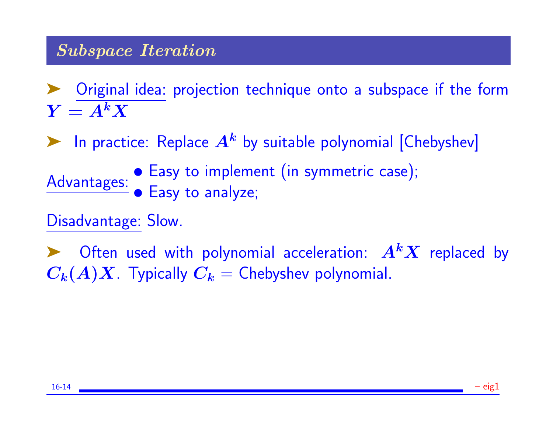### Subspace Iteration

➤ Original idea: projection technique onto a subspace if the form  $Y = A^k X$ 

**EXECUTE:** Replace  $A^k$  by suitable polynomial [Chebyshev]

Advantages: • Easy to implement (in symmetric case); • Easy to analyze;

Disadvantage: Slow.

Often used with polynomial acceleration:  $A<sup>k</sup>X$  replaced by  $C_k(A)X$ . Typically  $C_k$  = Chebyshev polynomial.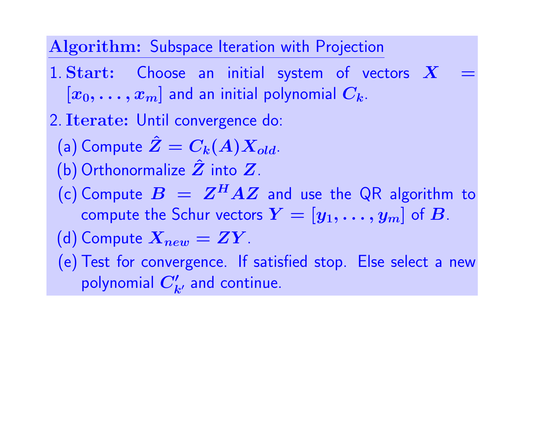## Algorithm: Subspace Iteration with Projection

- 1. Start: Choose an initial system of vectors  $X$  $[x_0, \ldots, x_m]$  and an initial polynomial  $C_k$ .
- 2. Iterate: Until convergence do:
	- (a) Compute  $\hat{Z}=C_k(A)X_{old}$ .
	- (b) Orthonormalize  $\hat{Z}$  into  $Z$ .
	- (c) Compute  $B = Z^H A Z$  and use the QR algorithm to compute the Schur vectors  $Y = [y_1, \ldots, y_m]$  of  $B$ .

(d) Compute 
$$
X_{new} = ZY
$$
.

(e) Test for convergence. If satisfied stop. Else select a new polynomial  $C'_{k'}$  and continue.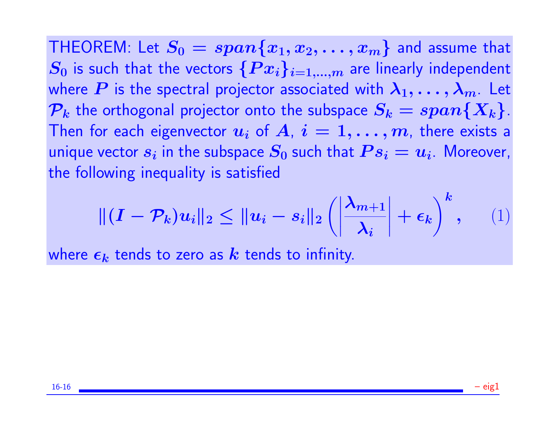THEOREM: Let  $S_0 = span\{x_1, x_2, \ldots, x_m\}$  and assume that  $S_0$  is such that the vectors  $\{Px_i\}_{i=1,...,m}$  are linearly independent where P is the spectral projector associated with  $\lambda_1, \ldots, \lambda_m$ . Let  $P_k$  the orthogonal projector onto the subspace  $S_k = span\{X_k\}$ . Then for each eigenvector  $u_i$  of  $A, i = 1, \ldots, m$ , there exists a unique vector  $s_i$  in the subspace  $S_0$  such that  $\boldsymbol{P} s_i = \boldsymbol{u}_i$ . Moreover, the following inequality is satisfied

$$
\| (I - \mathcal{P}_k) u_i \|_2 \le \| u_i - s_i \|_2 \left( \left| \frac{\lambda_{m+1}}{\lambda_i} \right| + \epsilon_k \right)^k, \qquad (1)
$$

where  $\epsilon_k$  tends to zero as k tends to infinity.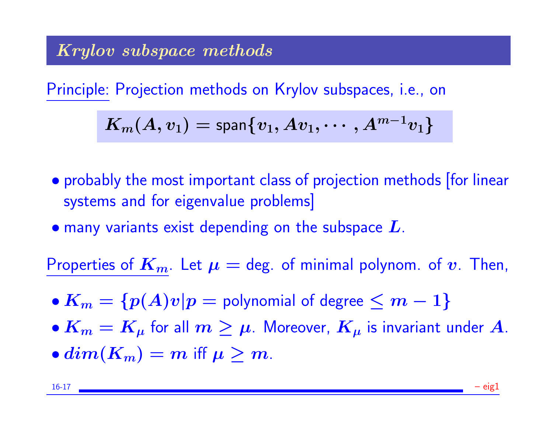## Krylov subspace methods

Principle: Projection methods on Krylov subspaces, i.e., on

$$
K_m(A,v_1)=\textup{span}\{v_1,Av_1,\cdots,A^{m-1}v_1\}
$$

- probably the most important class of projection methods [for linear systems and for eigenvalue problems]
- $\bullet$  many variants exist depending on the subspace  $L$ .

Properties of  $K_m$ . Let  $\mu =$  deg. of minimal polynom. of v. Then,

- $K_m = \{p(A)v|p =$  polynomial of degree  $\leq m-1\}$
- $K_m = K_\mu$  for all  $m \geq \mu$ . Moreover,  $K_\mu$  is invariant under A.
- $dim(K_m) = m$  iff  $\mu > m$ .

16-17 – eig1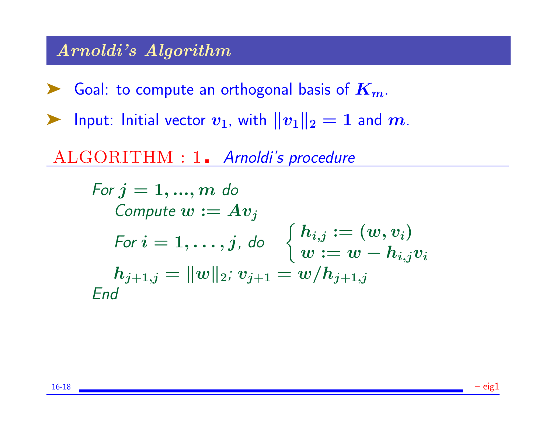### Arnoldi's Algorithm

- **Example 1** Goal: to compute an orthogonal basis of  $K_m$ .
- ightharpoonup Input: Initial vector  $v_1$ , with  $||v_1||_2 = 1$  and  $m$ .
- ALGORITHM : 1. Arnoldi's procedure

For 
$$
j = 1, ..., m
$$
 do  
\nCompute  $w := Av_j$   
\nFor  $i = 1, ..., j$ , do  $\begin{cases} h_{i,j} := (w, v_i) \\ w := w - h_{i,j}v_i \\ h_{j+1,j} = ||w||_2; v_{j+1} = w/h_{j+1,j} \end{cases}$   
\nEnd

16-18 – eig1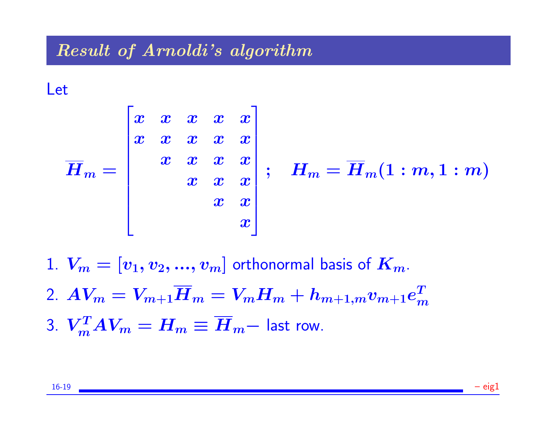#### Result of Arnoldi's algorithm

Let



$$
\ ; \quad H_m = \overline{H}_m(1:m,1:m)
$$

1.  $V_m = [v_1, v_2, ..., v_m]$  orthonormal basis of  $K_m$ . 2.  $A V_m = V_{m+1} \overline{H}_m = V_m H_m + h_{m+1,m} v_{m+1} e^T_m$  $\boldsymbol{m}$ 3.  $V_m^T A V_m = H_m \equiv \overline{H}_m-$  last row.

16-19 – eig1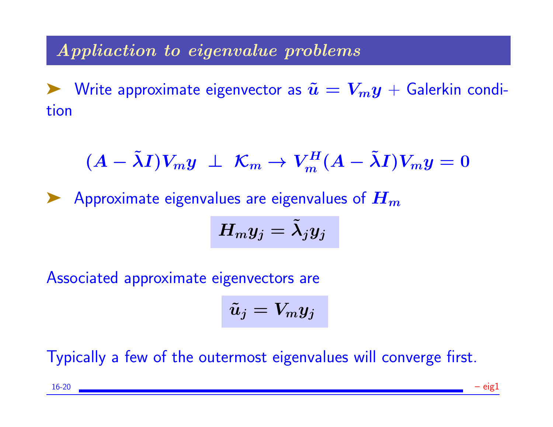## Appliaction to eigenvalue problems

► Write approximate eigenvector as  $\tilde{u} = V_m y + G$ alerkin condition

$$
(A - \tilde{\lambda}I)V_my \perp \mathcal{K}_m \rightarrow V_m^H(A - \tilde{\lambda}I)V_my = 0
$$

Approximate eigenvalues are eigenvalues of  $H_m$ 

$$
H_my_j=\tilde{\lambda}_j y_j
$$

Associated approximate eigenvectors are

$$
\tilde{u}_j=V_my_j
$$

Typically a few of the outermost eigenvalues will converge first.

16-20 – eig1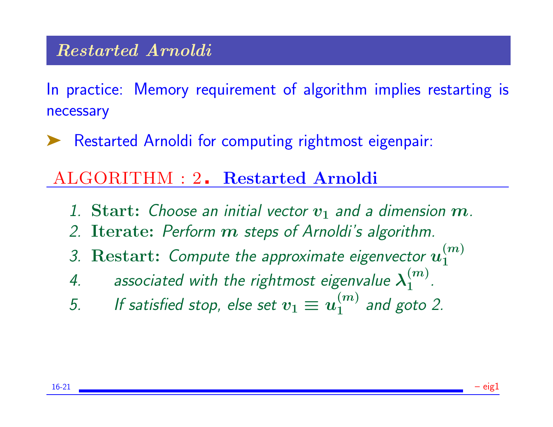#### Restarted Arnoldi

In practice: Memory requirement of algorithm implies restarting is necessary

➤ Restarted Arnoldi for computing rightmost eigenpair:

## ALGORITHM : 2. Restarted Arnoldi

- 1. Start: Choose an initial vector  $v_1$  and a dimension  $m$ .
- 2. Iterate: Perform m steps of Arnoldi's algorithm.
- 3. Restart: Compute the approximate eigenvector  $u_1^{(m)}$ 1
- 4. associated with the rightmost eigenvalue  $\lambda_1^{(m)}$  $\frac{(m)}{1}$ .
- 5. If satisfied stop, else set  $v_1 \equiv u_1^{(m)}$  $1^{(m)}$  and goto 2.

16-21 – eig1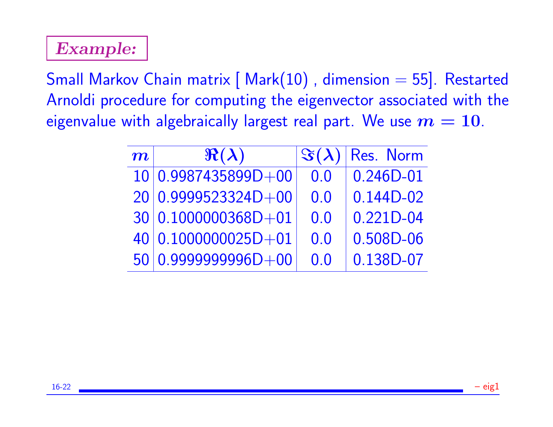# Example:

Small Markov Chain matrix [ Mark(10), dimension = 55]. Restarted Arnoldi procedure for computing the eigenvector associated with the eigenvalue with algebraically largest real part. We use  $m = 10$ .

| $\bm{m}^+$ | $\Re(\lambda)$      | $\Im(\lambda)$ | Res. Norm     |
|------------|---------------------|----------------|---------------|
|            | 10 0.9987435899D+00 | 0.0            | $0.246D - 01$ |
|            | 20 0.9999523324D+00 | 0.0            | $0.144D-02$   |
|            | 30 0.1000000368D+01 | 0.0            | $0.221D - 04$ |
|            | 40 0.1000000025D+01 | 0.0            | 0.508D-06     |
|            | 50 0.9999999996D+00 | 0.0            | 0.138D-07     |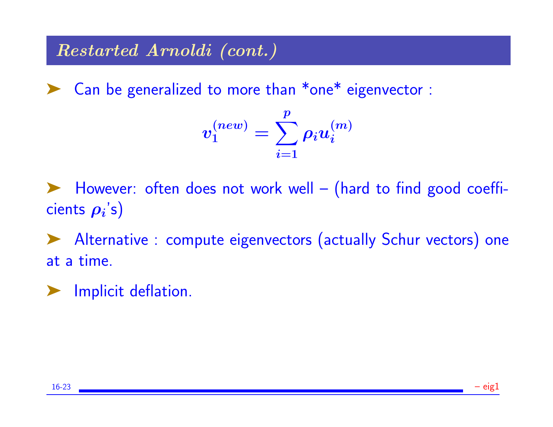## Restarted Arnoldi (cont.)

➤ Can be generalized to more than \*one\* eigenvector :

$$
v_1^{(new)} = \sum_{i=1}^p \rho_i u_i^{(m)}
$$

➤ However: often does not work well – (hard to find good coeffi- $\mathsf{cients}\ \boldsymbol{\rho_i} \text{'s)}$ 

➤ Alternative : compute eigenvectors (actually Schur vectors) one at a time.

Implicit deflation.

16-23 – eig1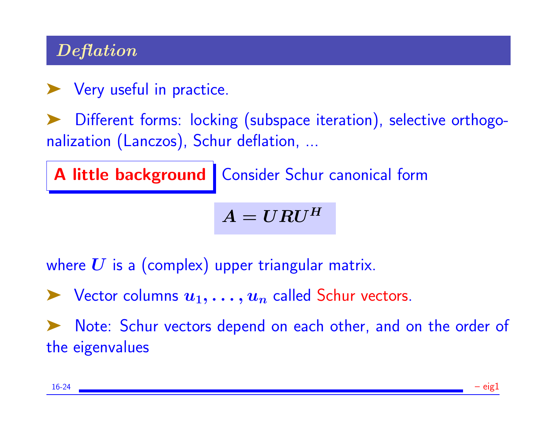# Deflation

▶ Very useful in practice.

Different forms: locking (subspace iteration), selective orthogonalization (Lanczos), Schur deflation, ...

A little background | Consider Schur canonical form

 $A = U R U^H$ 

where  $U$  is a (complex) upper triangular matrix.

 $\blacktriangleright$  Vector columns  $u_1, \ldots, u_n$  called Schur vectors.

Note: Schur vectors depend on each other, and on the order of the eigenvalues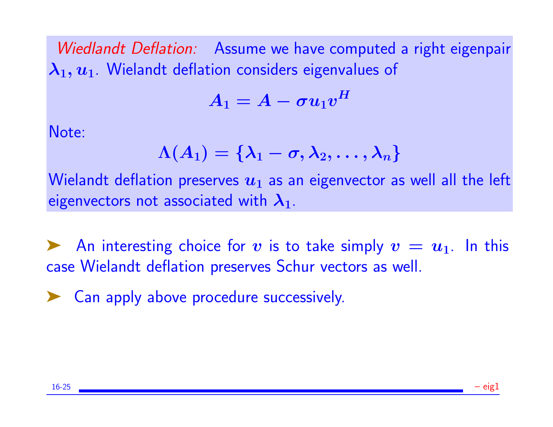Wiedlandt Deflation: Assume we have computed a right eigenpair  $\lambda_1, u_1$ . Wielandt deflation considers eigenvalues of

$$
A_1 = A - \sigma u_1 v^H
$$

Note:

$$
\Lambda(A_1)=\{\boldsymbol{\lambda}_1-\sigma,\boldsymbol{\lambda}_2,\ldots,\boldsymbol{\lambda}_n\}
$$

Wielandt deflation preserves  $u_1$  as an eigenvector as well all the left eigenvectors not associated with  $\lambda_1$ .

An interesting choice for v is to take simply  $v = u_1$ . In this case Wielandt deflation preserves Schur vectors as well.

➤ Can apply above procedure successively.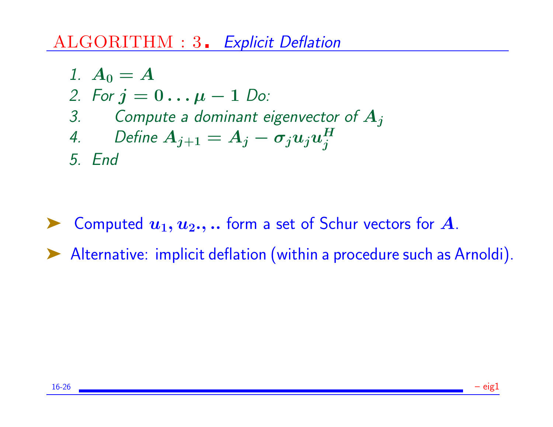## ALGORITHM : 3. Explicit Deflation

\n- 1. 
$$
A_0 = A
$$
\n- 2. For  $j = 0 \ldots \mu - 1$  Do:
\n- 3. Compute a dominant eigenvector of  $A_j$
\n- 4. Define  $A_{j+1} = A_j - \sigma_j u_j u_j^H$
\n- 5. End
\n

▶ Computed  $u_1, u_2,$ ... form a set of Schur vectors for A. ➤ Alternative: implicit deflation (within a procedure such as Arnoldi).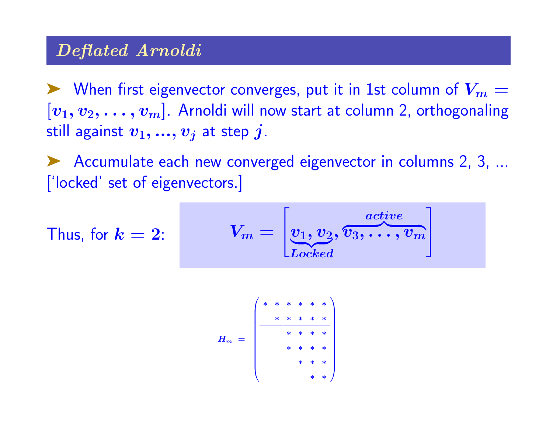## Deflated Arnoldi

 $\triangleright$  When first eigenvector converges, put it in 1st column of  $V_m =$  $[v_1, v_2, \ldots, v_m]$ . Arnoldi will now start at column 2, orthogonaling still against  $v_1, ..., v_j$  at step j.

Accumulate each new converged eigenvector in columns 2, 3, ... ['locked' set of eigenvectors.]

Thus, for 
$$
k = 2
$$
:  

$$
V_m = \begin{bmatrix} v_1, v_2, \overbrace{v_3, \ldots, v_m}^{active} \end{bmatrix}
$$

H<sup>m</sup> = ∗ ∗ ∗ ∗ ∗ ∗ ∗ ∗ ∗ ∗ ∗ ∗ ∗ ∗ ∗ ∗ ∗ ∗ ∗ ∗ ∗ ∗ ∗ ∗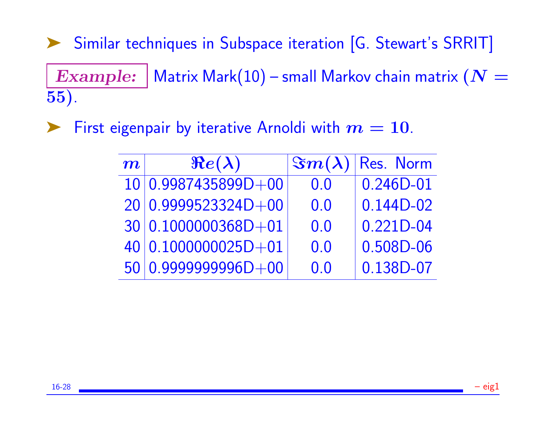➤ Similar techniques in Subspace iteration [G. Stewart's SRRIT] Example: Matrix Mark $(10)$  – small Markov chain matrix  $(N =$ 55).

First eigenpair by iterative Arnoldi with  $m = 10$ .

| $\boldsymbol{m}^{\prime}$ | $Re(\lambda)$         |     | $ \Im m(\lambda) $ Res. Norm |
|---------------------------|-----------------------|-----|------------------------------|
|                           | 10 0.9987435899D+00   | 0.0 | $0.246D - 01$                |
|                           | $20 0.9999523324D+00$ | 0.0 | $0.144D-02$                  |
|                           | 30 0.1000000368D+01   | 0.0 | $0.221D - 04$                |
|                           | 40 0.1000000025D+01   | 0.0 | 0.508D-06                    |
|                           | 50 0.9999999996D+00   | 0.0 | 0.138D-07                    |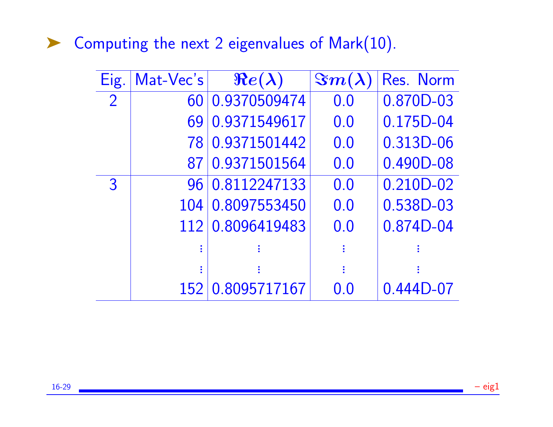▶ Computing the next 2 eigenvalues of Mark(10).

| Eig.           | Mat-Vec's | $Re(\lambda)$ | $\mathcal{S}m(\lambda)$ | Res. Norm   |
|----------------|-----------|---------------|-------------------------|-------------|
| $\overline{2}$ | 60        | 0.9370509474  | 0.0                     | 0.870D-03   |
|                | 69        | 0.9371549617  | 0.0                     | 0.175D-04   |
|                | 78        | 0.9371501442  | 0.0                     | 0.313D-06   |
|                | 87        | 0.9371501564  | 0.0                     | 0.490D-08   |
| 3              | 96        | 0.8112247133  | 0.0                     | 0.210D-02   |
|                | 104       | 0.8097553450  | 0.0                     | 0.538D-03   |
|                | 112       | 0.8096419483  | 0.0                     | 0.874D-04   |
|                |           |               | I                       |             |
|                |           |               | I                       |             |
|                | 152       | 0.8095717167  | 0.0                     | $0.444D-07$ |

16-29 – eig1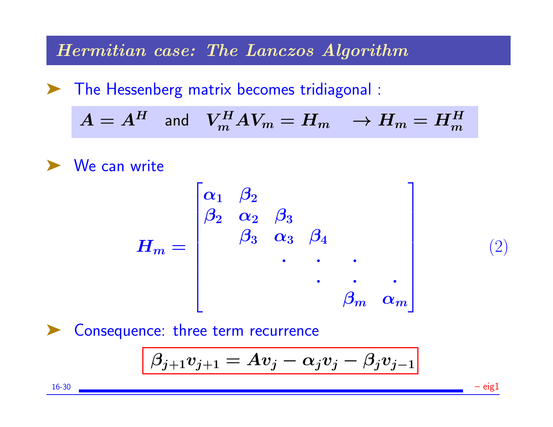Hermitian case: The Lanczos Algorithm

➤ The Hessenberg matrix becomes tridiagonal :

$$
A = A^H \quad \text{and} \quad V_m^H A V_m = H_m \quad \to H_m = H_m^H
$$



$$
H_m = \begin{bmatrix} \alpha_1 & \beta_2 \\ \beta_2 & \alpha_2 & \beta_3 \\ & \beta_3 & \alpha_3 & \beta_4 \\ & & \ddots & \ddots & \ddots \\ & & & \beta_m & \alpha_m \end{bmatrix}
$$

(2)

➤ Consequence: three term recurrence

$$
\beta_{j+1} v_{j+1} = A v_j - \alpha_j v_j - \beta_j v_{j-1}
$$

16-30 – eig1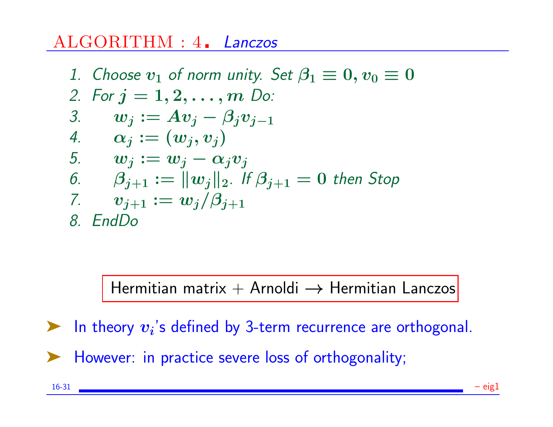# ALGORITHM : 4. Lanczos

\n- 1. Choose 
$$
v_1
$$
 of norm unity. Set  $\beta_1 \equiv 0$ ,  $v_0 \equiv 0$
\n- 2. For  $j = 1, 2, \ldots, m$  Do:
\n- 3.  $w_j := Av_j - \beta_j v_{j-1}$
\n- 4.  $\alpha_j := (w_j, v_j)$
\n- 5.  $w_j := w_j - \alpha_j v_j$
\n- 6.  $\beta_{j+1} := ||w_j||_2$ . If  $\beta_{j+1} = 0$  then Stop
\n- 7.  $v_{j+1} := w_j / \beta_{j+1}$
\n- 8. EndDo
\n

Hermitian matrix + Arnoldi  $\rightarrow$  Hermitian Lanczos

In theory  $v_i$ 's defined by 3-term recurrence are orthogonal.

➤ However: in practice severe loss of orthogonality;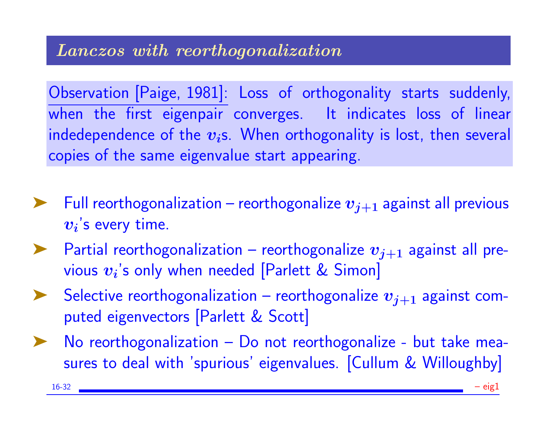Observation [Paige, 1981]: Loss of orthogonality starts suddenly, when the first eigenpair converges. It indicates loss of linear indedependence of the  $v_i$ s. When orthogonality is lost, then several copies of the same eigenvalue start appearing.

- Full reorthogonalization reorthogonalize  $v_{j+1}$  against all previous  $\boldsymbol{v_{i}}$ 's every time.
- Partial reorthogonalization reorthogonalize  $v_{i+1}$  against all previous  $\boldsymbol{v_i}$ 's only when needed [Parlett & Simon]
- Selective reorthogonalization reorthogonalize  $\boldsymbol{v}_{j+1}$  against computed eigenvectors [Parlett & Scott]
- No reorthogonalization Do not reorthogonalize but take measures to deal with 'spurious' eigenvalues. [Cullum & Willoughby]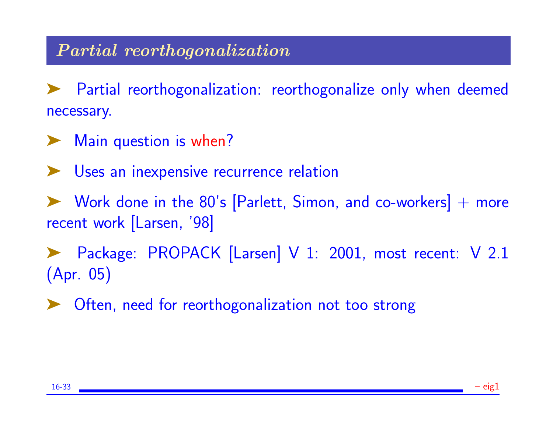## Partial reorthogonalization

Partial reorthogonalization: reorthogonalize only when deemed necessary.

- ► Main question is when?
- ▶ Uses an inexpensive recurrence relation

Work done in the  $80's$  [Parlett, Simon, and co-workers]  $+$  more recent work [Larsen, '98]

Package: PROPACK [Larsen] V 1: 2001, most recent: V 2.1 (Apr. 05)

➤ Often, need for reorthogonalization not too strong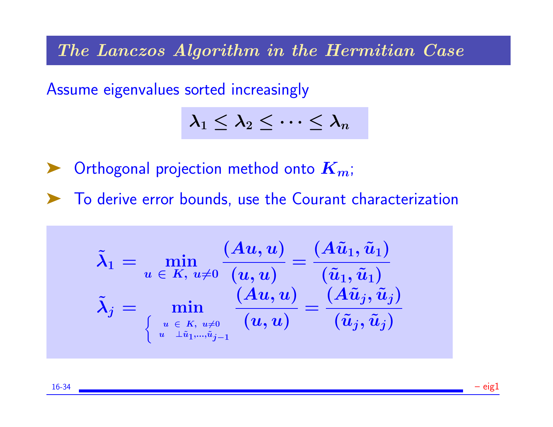The Lanczos Algorithm in the Hermitian Case

Assume eigenvalues sorted increasingly

$$
\lambda_1\leq \lambda_2\leq \cdots \leq \lambda_n
$$

 $\blacktriangleright$  Orthogonal projection method onto  $K_m$ ;

➤ To derive error bounds, use the Courant characterization

$$
\tilde{\boldsymbol{\lambda}}_1 = \min_{\boldsymbol{u}~\in~\mathcal{K},~u\neq 0}\frac{(A\tilde{u},\boldsymbol{u})}{(\boldsymbol{u},\boldsymbol{u})} = \frac{(A\tilde{u}_1,\tilde{u}_1)}{(\tilde{u}_1,\tilde{u}_1)}\\ \tilde{\boldsymbol{\lambda}}_j = \min_{\left\{\begin{array}{c} u \in K,~u\neq 0 \\ u~\exists \tilde{u}_1,...,\tilde{u}_{j-1} \end{array}} \left(\boldsymbol{u},\boldsymbol{u}\right)\right.} = \frac{(A\tilde{u}_j,\tilde{u}_j)}{(\tilde{u}_j,\tilde{u}_j)}
$$

16-34 – eig1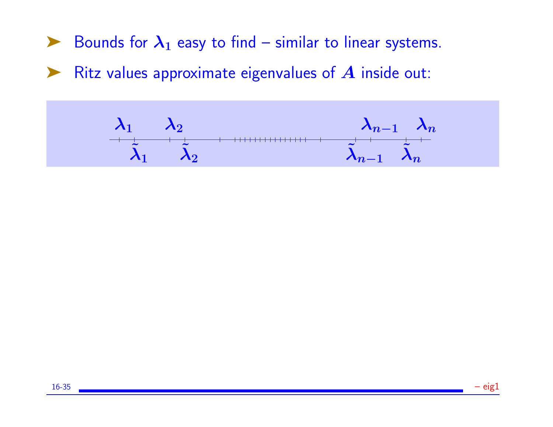Bounds for  $\lambda_1$  easy to find – similar to linear systems.

 $\blacktriangleright$  Ritz values approximate eigenvalues of  $A$  inside out:

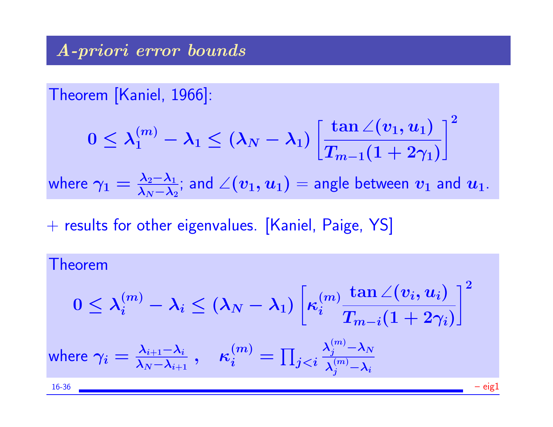Theorem [Kaniel, 1966]:

$$
0\leq \lambda_1^{(m)}-\lambda_1\leq (\lambda_N-\lambda_1)\left[\frac{\tan\angle(v_1,u_1)}{T_{m-1}(1+2\gamma_1)}\right]^2
$$

where  $\gamma_1 = \frac{\lambda_2 - \lambda_1}{\lambda_2 - \lambda_2}$  $\frac{\lambda_2 - \lambda_1}{\lambda_N - \lambda_2}$ ; and  $\angle(v_1, u_1) =$  angle between  $v_1$  and  $u_1$ .

 $+$  results for other eigenvalues. [Kaniel, Paige, YS]

#### Theorem  $0 \leq \lambda_i^{(m)} - \lambda_i \leq (\lambda_N - \lambda_1)$  $\sqrt{ }$  $\kappa^{(m)}_i$ i  $\tan\angle(v_i,u_i)$  $T_{m-i}(1+2\gamma_i)$  $\vert$ <sup>2</sup> where  $\gamma_i=\frac{\lambda_{i+1}-\lambda_i}{\lambda_{N}-\lambda_{i+1}}$  $\lambda_N{-}\lambda_{i+1}$  $,\quad \kappa_i^{(m)}=\prod_{j$  $\boldsymbol{\lambda}_j^{(m)} {-} \boldsymbol{\lambda}_N$  $\lambda_j^{(m)}{-}\lambda_i$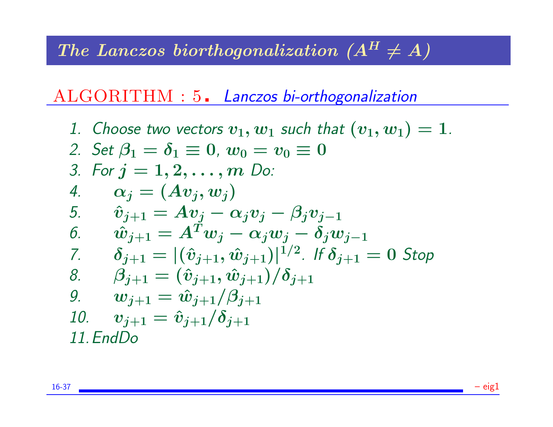# The Lanczos biorthogonalization  $(A^H \neq A)$

# ALGORITHM : 5. Lanczos bi-orthogonalization

\n- 1. Choose two vectors 
$$
v_1
$$
,  $w_1$  such that  $(v_1, w_1) = 1$ .
\n- 2. Set  $\beta_1 = \delta_1 \equiv 0$ ,  $w_0 = v_0 \equiv 0$
\n- 3. For  $j = 1, 2, \ldots, m$  Do:
\n- 4.  $\alpha_j = (Av_j, w_j)$
\n- 5.  $\hat{v}_{j+1} = Av_j - \alpha_j v_j - \beta_j v_{j-1}$
\n- 6.  $\hat{w}_{j+1} = A^T w_j - \alpha_j w_j - \delta_j w_{j-1}$
\n- 7.  $\delta_{j+1} = |(\hat{v}_{j+1}, \hat{w}_{j+1})|^{1/2}$ . If  $\delta_{j+1} = 0$  Stop
\n- 8.  $\beta_{j+1} = (\hat{v}_{j+1}, \hat{w}_{j+1})/\delta_{j+1}$
\n- 9.  $w_{j+1} = \hat{w}_{j+1}/\beta_{j+1}$
\n- 10.  $v_{j+1} = \hat{v}_{j+1}/\delta_{j+1}$
\n- 11. EndDo
\n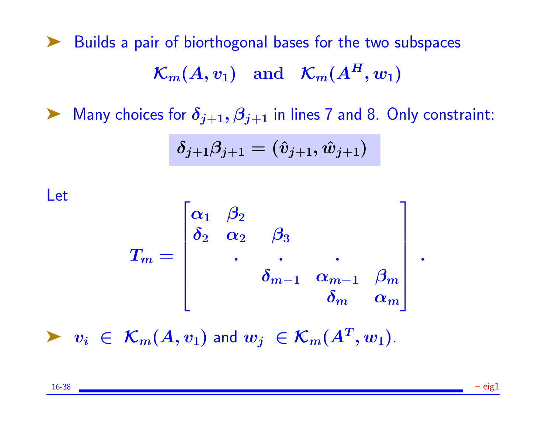➤ Builds a pair of biorthogonal bases for the two subspaces  $\mathcal{K}_m(A, v_1)$  and  $\mathcal{K}_m(A^H, w_1)$ 

A Many choices for  $\delta_{j+1}, \beta_{j+1}$  in lines 7 and 8. Only constraint:

$$
\delta_{j+1}\beta_{j+1}=(\hat{v}_{j+1},\hat{w}_{j+1})
$$

Let

$$
T_m=\begin{bmatrix} \alpha_1 & \beta_2 & & & \\ \delta_2 & \alpha_2 & \beta_3 & & \\ & \ddots & \ddots & \ddots \\ & & \delta_{m-1} & \alpha_{m-1} & \beta_m \\ & & & \delta_m & \alpha_m \end{bmatrix}\;.
$$

 $\blacktriangleright \ \ v_i \ \in \ \mathcal{K}_m(A,v_1)$  and  $w_j \ \in \mathcal{K}_m(A^T,w_1)$ .

16-38 – eig1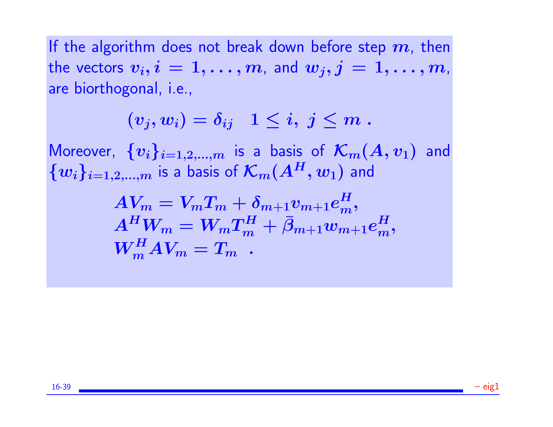If the algorithm does not break down before step  $m$ , then the vectors  $v_i, i = 1, \ldots, m$ , and  $w_j, j = 1, \ldots, m$ , are biorthogonal, i.e.,

$$
(v_j,w_i)=\delta_{ij}\ \ \, 1\leq i,\ j\leq m\;.
$$

Moreover,  $\{v_i\}_{i=1,2,...,m}$  is a basis of  $\mathcal{K}_m(A,v_1)$  and  ${w_i}_{i=1,2,...,m}$  is a basis of  $\mathcal{K}_m(A^H, w_1)$  and

$$
\begin{array}{l} A V_m = V_m T_m + \delta_{m+1} v_{m+1} e^H_m, \\ A^H W_m = W_m T_m^H + \bar{\beta}_{m+1} w_{m+1} e^H_m, \\ W_m^H A V_m = T_m \end{array}
$$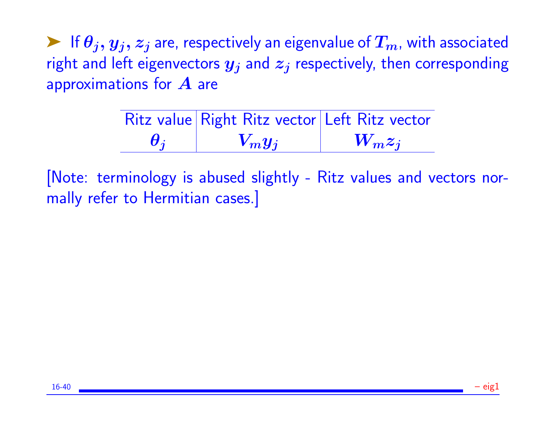External If  $\theta_j, y_j, z_j$  are, respectively an eigenvalue of  $T_m$ , with associated right and left eigenvectors  $y_j$  and  $z_j$  respectively, then corresponding approximations for  $A$  are

|                         | Ritz value Right Ritz vector Left Ritz vector |           |
|-------------------------|-----------------------------------------------|-----------|
| $\boldsymbol{\theta_i}$ | $V_m y_j$                                     | $W_m z_i$ |

[Note: terminology is abused slightly - Ritz values and vectors normally refer to Hermitian cases.]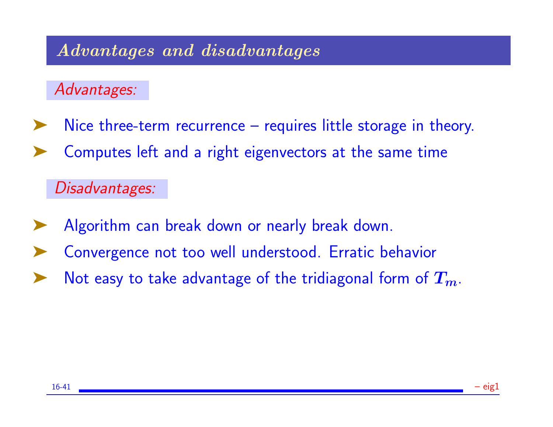## Advantages and disadvantages

Advantages:

- Nice three-term recurrence requires little storage in theory.
- Computes left and a right eigenvectors at the same time

Disadvantages:

- Algorithm can break down or nearly break down.
- Convergence not too well understood. Erratic behavior
- Not easy to take advantage of the tridiagonal form of  $T_m$ .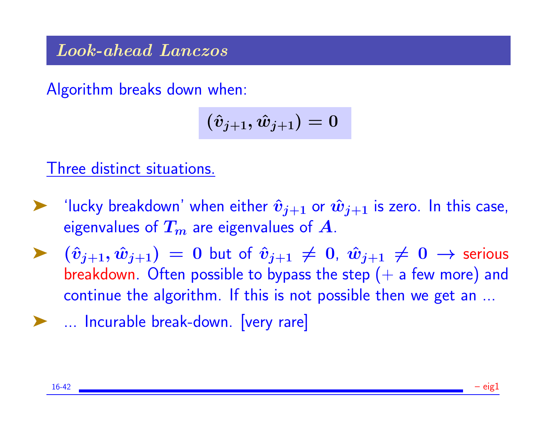Look-ahead Lanczos

Algorithm breaks down when:

$$
(\hat{v}_{j+1},\hat{w}_{j+1})=0
$$

Three distinct situations.

- "lucky breakdown' when either  $\hat{\bm{v}}_{j+1}$  or  $\hat{\bm{w}}_{j+1}$  is zero. In this case, eigenvalues of  $T_m$  are eigenvalues of  $A$ .
- ▶  $(\hat{v}_{i+1}, \hat{w}_{i+1}) = 0$  but of  $\hat{v}_{i+1} \neq 0$ ,  $\hat{w}_{i+1} \neq 0$  → serious breakdown. Often possible to bypass the step  $(+)$  a few more) and continue the algorithm. If this is not possible then we get an ...
- ➤ ... Incurable break-down. [very rare]